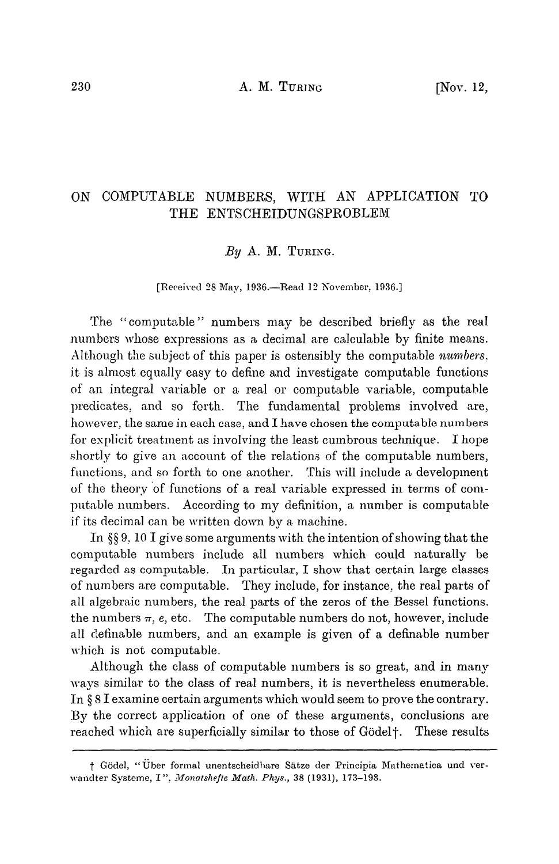# ON COMPUTABLE NUMBERS, WITH AN APPLICATION TO THE ENTSCHEIDUNGSPROBLEM

*By* A. M. TURING.

[Received 28 May, 1936.—Read 12 November, 1936.]

The "computable" numbers may be described briefly as the real numbers whose expressions as a decimal are calculable by finite means. Although the subject of this paper is ostensibly the computable *numbers.* it is almost equally easy to define and investigate computable functions of an integral variable or a real or computable variable, computable predicates, and so forth. The fundamental problems involved are, however, the same in each case, and I have chosen the computable numbers for explicit treatment as involving the least cumbrous technique. I hope shortly to give an account of the relations of the computable numbers, functions, and so forth to one another. This will include a development of the theory of functions of a real variable expressed in terms of computable numbers. According to my definition, a number is computable if its decimal can be written down by a machine.

In §§ 9, 10 I give some arguments with the intention of showing that the computable numbers include all numbers which could naturally be regarded as computable. In particular, I show that certain large classes of numbers are computable. They include, for instance, the real parts of all algebraic numbers, the real parts of the zeros of the Bessel functions, the numbers  $\pi$ , e, etc. The computable numbers do not, however, include all definable numbers, and an example is given of a definable number which is not computable.

Although the class of computable numbers is so great, and in many ways similar to the class of real numbers, it is nevertheless enumerable. In § 8 I examine certain arguments which would seem to prove the contrary. By the correct application of one of these arguments, conclusions are reached which are superficially similar to those of Gödel†. These results

f Godel, " Uber formal unentscheidbare Satze der Principia Mathematica und ver vandter Systeme, I", Monatsheftc Math. Phys., 38 (1931), 173-198.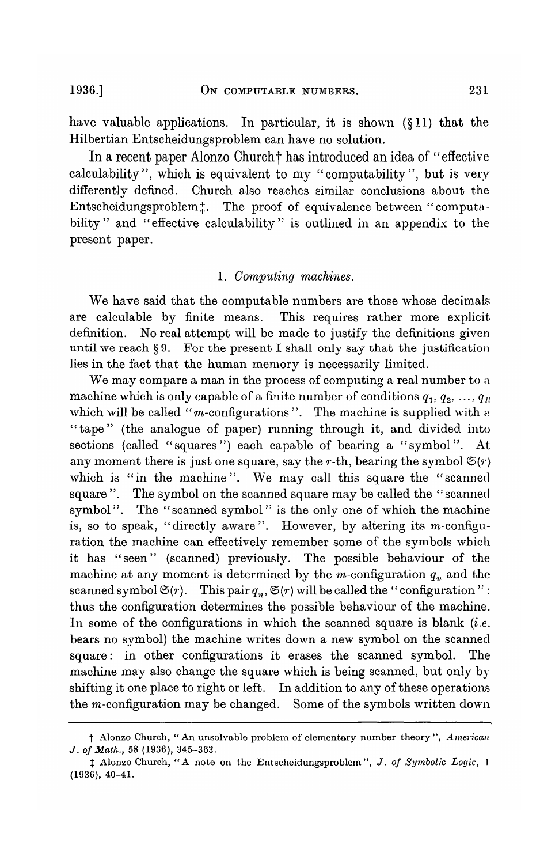have valuable applications. In particular, it is shown (§11) that the Hilbertian Entscheidungsproblem can have no solution.

In a recent paper Alonzo Church <sup>†</sup> has introduced an idea of "effective calculability", which is equivalent to my "computability", but is very differently defined. Church also reaches similar conclusions about the Entscheidungsproblem<sup>+</sup>. The proof of equivalence between "computability" and "effective calculability" is outlined in an appendix to the present paper.

### 1. *Computing machines.*

We have said that the computable numbers are those whose decimals are calculable by finite means. This requires rather more explicit definition. No real attempt will be made to justify the definitions given until we reach  $\S 9$ . For the present I shall only say that the justification lies in the fact that the human memory is necessarily limited.

We may compare a man in the process of computing a real number to a machine which is only capable of a finite number of conditions  $q_1, q_2, ..., q_n$ which will be called " $m$ -configurations". The machine is supplied with a "tape" (the analogue of paper) running through it, and divided into sections (called "squares") each capable of bearing a "symbol". At any moment there is just one square, say the r-th, bearing the symbol  $\mathfrak{S}(r)$ which is "in the machine". We may call this square the "scanned square". The symbol on the scanned square may be called the "scanned symbol". The "scanned symbol" is the only one of which the machine is, so to speak, "directly aware". However, by altering its  $m$ -configuration the machine can effectively remember some of the symbols which it has "seen" (scanned) previously. The possible behaviour of the machine at any moment is determined by the *m*-configuration  $q_n$  and the scanned symbol  $\mathfrak{S}(r)$ . This pair  $q_n$ ,  $\mathfrak{S}(r)$  will be called the "configuration": thus the configuration determines the possible behaviour of the machine. In some of the configurations in which the scanned square is blank  $(i.e.$ bears no symbol) the machine writes down a new symbol on the scanned square: in other configurations it erases the scanned symbol. The machine may also change the square which is being scanned, but only by shifting it one place to right or left. In addition to any of these operations the m-configuration may be changed. Some of the symbols written down

f Alonzo Church, " An unsolvable problem, of elementary number theory ", *American J. of Math.,* 58 (1936), 345-363.

*X* Alonzo Church, "A note on the Entscheidungsproblem", *J. of Symbolic Logic,* 1 (1936), 40-41.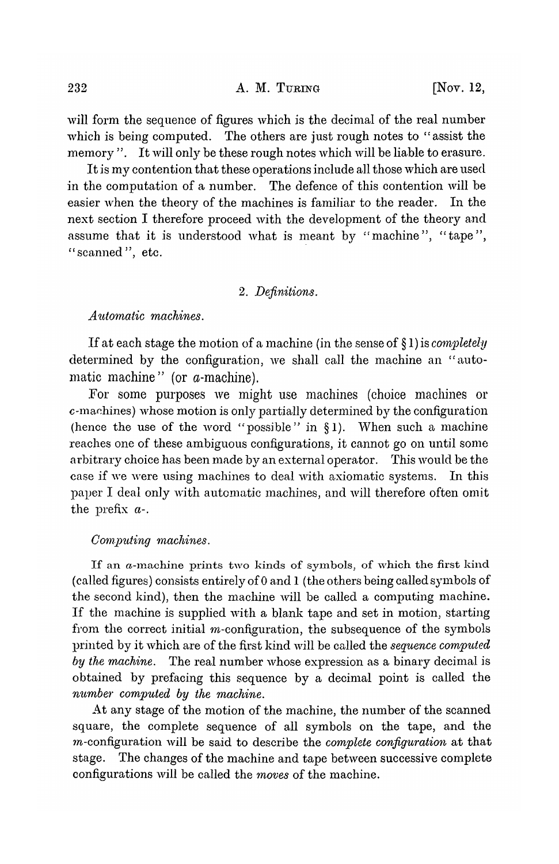will form the sequence of figures which is the decimal of the real number which is being computed. The others are just rough notes to "assist the memory". It will only be these rough notes which will be liable to erasure.

It is my contention that these operations include all those which are used in the computation of a number. The defence of this contention will be easier when the theory of the machines is familiar to the reader. In the next section I therefore proceed with the development of the theory and assume that it is understood what is meant by "machine", "tape", "scanned", etc.

#### 2. *Definitions.*

*Automatic machines.*

If at each stage the motion of a machine (in the sense of § 1) is *completely* determined by the configuration, we shall call the machine an "automatic machine" (or *a*-machine).

.For some purposes we might use machines (choice machines or c-machines) whose motion is only partially determined by the configuration (hence the use of the word "possible" in §1). When such a machine reaches one of these ambiguous configurations, it cannot go on until some arbitrary choice has been made by an external operator. This would be the case if we were using machines to deal with axiomatic systems. In this paper I deal only with automatic machines, and will therefore often omit the prefix *a-.*

#### *Computing machines.*

If an a-machine prints two kinds of symbols, of which the first kind (called figures) consists entirely of 0 and 1 (the others being called symbols of the second kind), then the machine will be called a computing machine. If the machine is supplied with a blank tape and set in motion, starting from the correct initial  $m$ -configuration, the subsequence of the symbols printed by it which are of the first kind will be called the *sequence computed by the machine.* The real number whose expression as a binary decimal is obtained by prefacing this sequence by a decimal point is called the *number computed by the machine.*

At any stage of the motion of the machine, the number of the scanned square, the complete sequence of all symbols on the tape, and the m-configuration will be said to describe the *complete configuration* at that stage. The changes of the machine and tape between successive complete configurations will be called the *moves* of the machine.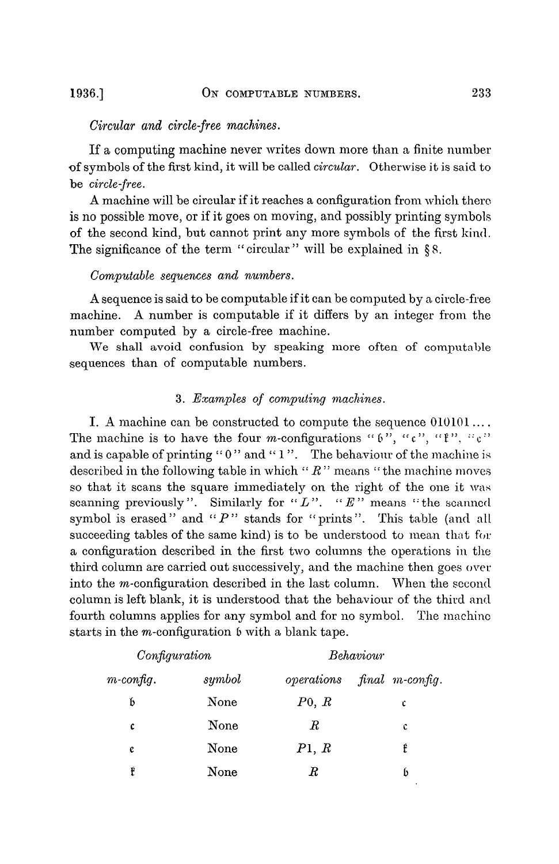### *Circular and circle-free machines.*

If a computing machine never writes down more than a finite number of symbols of the first kind, it will be called *circular.* Otherwise it is said to be *circle-free.*

A machine will be circular if it reaches a configuration from which there is no possible move, or if it goes on moving, and possibly printing symbols of the second kind, but cannot print any more symbols of the first kind. The significance of the term "circular" will be explained in  $\S$ 8.

### *Computable sequences and numbers.*

A sequence is said to be computable if it can be computed by a circle-free machine. A number is computable if it differs by an integer from the number computed by a circle-free machine.

We shall avoid confusion by speaking more often of computable sequences than of computable numbers.

# 3. *Examples of computing machines.*

I. A machine can be constructed to compute the sequence 010101.... The machine is to have the four m-configurations " $\mathfrak{b}$ ", " $\mathfrak{c}$ ", " $\mathfrak{f}$ ", " $\mathfrak{c}$ " and is capable of printing " $0$ " and " $1$ ". The behaviour of the machine is described in the following table in which "*R*" means "the machine moves so that it scans the square immediately on the right of the one it was scanning previously". Similarly for "L". "E" means "the scanned symbol is erased" and " $P$ " stands for "prints". This table (and all succeeding tables of the same kind) is to be understood to mean that for a configuration described in the first two columns the operations in the third column are carried out successively, and the machine then goes over into the m-configuration described in the last column. When the second column is left blank, it is understood that the behaviour of the third and fourth columns applies for any symbol and for no symbol. The machine starts in the  $m$ -configuration  $\mathfrak b$  with a blank tape.

| Configuration |        |            | Behaviour         |
|---------------|--------|------------|-------------------|
| $m$ -config.  | symbol | operations | $final$ m-config. |
| ь             | None   | $P_0, R$   | c                 |
| c             | None   | $_{R}$     | c                 |
| e             | None   | P1, R      | £                 |
| Ë             | None   | $\pmb{R}$  | b                 |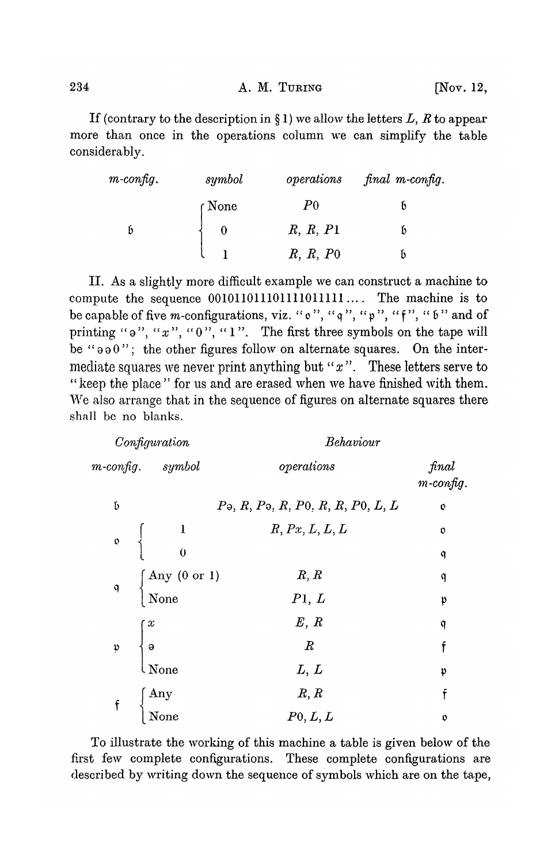234 A. M. TURING [Nov. 12,

If (contrary to the description in § 1) we allow the letters *L, R* to appear more than once in the operations column we can simplify the table considerably.

| m-config. | symbol                   | operations     | final m-config. |
|-----------|--------------------------|----------------|-----------------|
|           | $\int$ None              | P <sub>0</sub> |                 |
| b         | $\overline{\phantom{0}}$ | R, R, P1       |                 |
|           |                          | R, R, P0       |                 |

II. As a slightly more difficult example we can construct a machine to compute the sequence  $00101101111011111...$  The machine is to be capable of five m-configurations, viz. " $\circ$ ", " $\circ$ ", " $\circ$ ", " $f$ ", " $\circ$ " and of printing " $\theta$ ", " $x$ ", " $0$ ", "1". The first three symbols on the tape will be " $\theta \theta$ "; the other figures follow on alternate squares. On the intermediate squares we never print anything but *"x".* These letters serve to " keep the place" for us and are erased when we have finished with them. We also arrange that in the sequence of figures on alternate squares there shall be no blanks.

|   | Configuration                                                                          | Behaviour                                                             |                       |
|---|----------------------------------------------------------------------------------------|-----------------------------------------------------------------------|-----------------------|
|   | m-config. symbol                                                                       | operations                                                            | final<br>$m$ -config. |
| b |                                                                                        | $P_{\Theta}$ , R, P $_{\Theta}$ , R, P $_{0}$ , R, R, P $_{0}$ , L, L | o                     |
|   | $\circ$ $\begin{cases} 1 \\ 0 \end{cases}$                                             | R, Px, L, L, L                                                        | 0                     |
|   |                                                                                        |                                                                       | q                     |
|   |                                                                                        | R, R                                                                  | ٩                     |
|   | $\mathfrak{q} = \begin{cases} \text{Any} (0 \text{ or } 1) \\ \text{None} \end{cases}$ | P1, L                                                                 | p                     |
|   |                                                                                        | E, R                                                                  | q                     |
|   | $\mathfrak{p} \left\{ \begin{aligned} x \\ y \\ \text{None} \end{aligned} \right.$     | $\boldsymbol{R}$                                                      | f                     |
|   |                                                                                        | $L,\,L$                                                               | p                     |
|   |                                                                                        | R, R                                                                  | f                     |
|   | $f \begin{cases} \text{Any} \\ \text{None} \end{cases}$                                | P0, L, L                                                              | 0                     |

To illustrate the working of this machine a table is given below of the first few complete configurations. These complete configurations are described by writing down the sequence of symbols which are on the tape,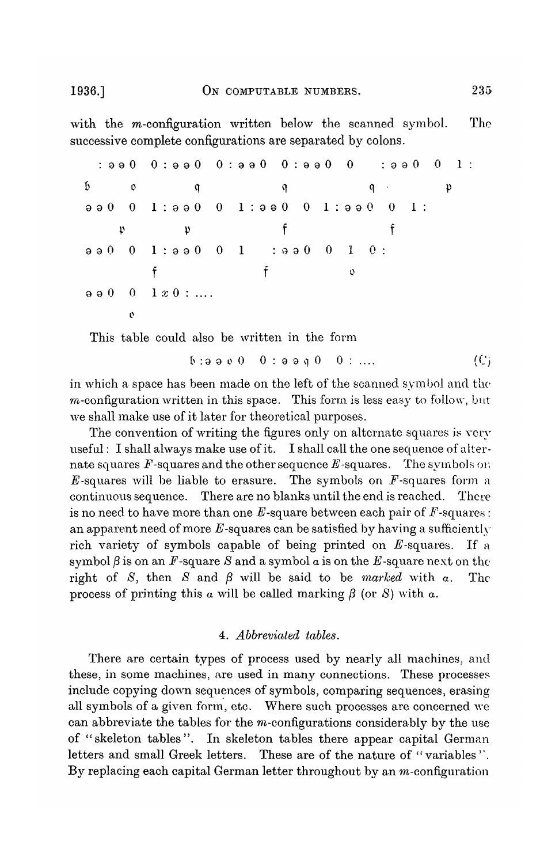with the *m*-configuration written below the scanned symbol. The successive complete configurations are separated by colons.

**:**<sup>99</sup> <sup>0</sup> **Oroo O 0:99 0 0:99 0 0 :99 0 0 1 : b o q q q p 9 9 0 0 1:99 0 0 1:99 0 0 1:99 0 0 1 : P P f f 9 9 0 0 1:99 0 0 1** :oa 0 **0 1 0 : f f**  $\alpha$ **9 9 0 0 H-0: ....** *c*

This table could also be written in the form

$$
\mathfrak{b} : \mathfrak{g} \mathfrak{g} \mathfrak{g} \mathfrak{g} \mathfrak{g} \mathfrak{g} \mathfrak{g} \mathfrak{g} \mathfrak{g} \mathfrak{g} \mathfrak{g} \mathfrak{g} \mathfrak{g} \mathfrak{g} \mathfrak{g} \mathfrak{g} \mathfrak{g} \mathfrak{g} \mathfrak{g} \mathfrak{g} \mathfrak{g} \mathfrak{g} \mathfrak{g} \mathfrak{g} \mathfrak{g} \mathfrak{g} \mathfrak{g} \mathfrak{g} \mathfrak{g} \mathfrak{g} \mathfrak{g} \mathfrak{g} \mathfrak{g} \mathfrak{g} \mathfrak{g} \mathfrak{g} \mathfrak{g} \mathfrak{g} \mathfrak{g} \mathfrak{g} \mathfrak{g} \mathfrak{g} \mathfrak{g} \mathfrak{g} \mathfrak{g} \mathfrak{g} \mathfrak{g} \mathfrak{g} \mathfrak{g} \mathfrak{g} \mathfrak{g} \mathfrak{g} \mathfrak{g} \mathfrak{g} \mathfrak{g} \mathfrak{g} \mathfrak{g} \mathfrak{g} \mathfrak{g} \mathfrak{g} \mathfrak{g} \mathfrak{g} \mathfrak{g} \mathfrak{g} \mathfrak{g} \mathfrak{g} \mathfrak{g} \mathfrak{g} \mathfrak{g} \mathfrak{g} \mathfrak{g} \mathfrak{g} \mathfrak{g} \mathfrak{g} \mathfrak{g} \mathfrak{g} \mathfrak{g} \mathfrak{g} \mathfrak{g} \mathfrak{g} \mathfrak{g} \mathfrak{g} \mathfrak{g} \mathfrak{g} \mathfrak{g} \mathfrak{g} \mathfrak{g} \mathfrak{g} \mathfrak{g} \mathfrak{g} \mathfrak{g} \mathfrak{g} \mathfrak{g} \mathfrak{g} \mathfrak{g} \mathfrak{g} \mathfrak{g} \mathfrak{g} \mathfrak{g} \mathfrak{g} \mathfrak{g} \mathfrak{g} \mathfrak{g} \mathfrak{g} \mathfrak{g} \mathfrak{g} \mathfrak{g} \mathfr
$$

in which a space has been made on the left of the scanned symbol and the\*  $m$ -configuration written in this space. This form is less easy to follow, but we shall make use of it later for theoretical purposes.

The convention of writing the figures only on alternate squares is very useful: I shall always make use of it. I shall call the one sequence of alternate squares  $F$ -squares and the other sequence  $E$ -squares. The symbols on  $E$ -squares will be liable to erasure. The symbols on  $F$ -squares form a continuous sequence. There are no blanks until the end is reached. There is no need to have more than one  $E$ -square between each pair of  $F$ -squares : an apparent need of more  $E$ -squares can be satisfied by having a sufficiently rich variety of symbols capable of being printed on  $E$ -squares. If a symbol  $\beta$  is on an F-square S and a symbol  $\alpha$  is on the E-square next on the right of *S*, then *S* and  $\beta$  will be said to be *marked* with a. The process of printing this a will be called marking  $\beta$  (or  $S$ ) with a.

# 4. *Abbreviated tables.*

There are certain types of process used by nearly all machines, and. these, in some machines, are used in many connections. These processes include copying down sequences of symbols, comparing sequences, erasing all symbols of a given form, etc. Where such processes are concerned we can abbreviate the tables for the  $m$ -configurations considerably by the use of "skeleton tables". In skeleton tables there appear capital German letters and small Greek letters. These are of the nature of "variables". By replacing each capital German letter throughout by an  $m$ -configuration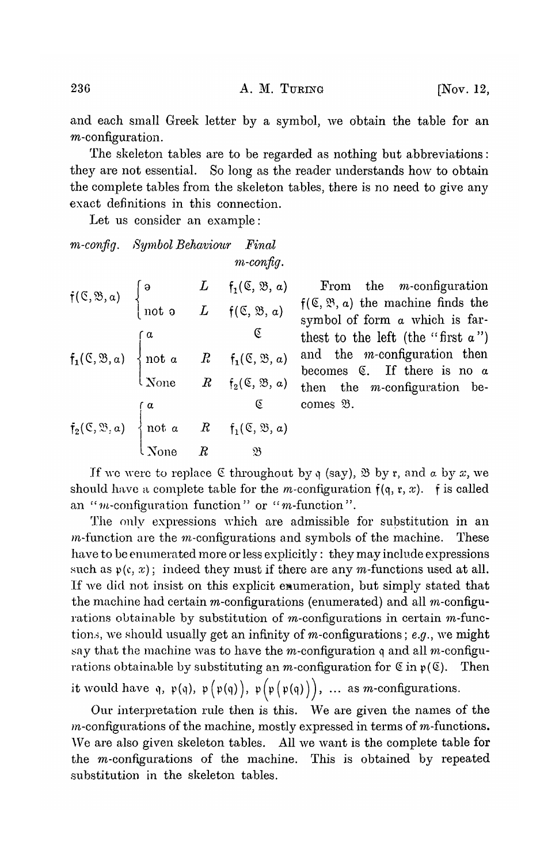and each small Greek letter by a symbol, we obtain the table for an m-configuration.

The skeleton tables are to be regarded as nothing but abbreviations: they are not essential. So long as the reader understands how to obtain the complete tables from the skeleton tables, there is no need to give any exact definitions in this connection.

Let us consider an example:

*m-config. Symbol Behaviour Final m-config.*

 $\mathfrak{f}(\mathfrak{C},\mathfrak{B},a)$  $f_1(\mathfrak{C}, \mathfrak{B}, a)$  $L$   $\mathfrak{f}_1(\mathfrak{C}, \mathfrak{B}, \mathfrak{a})$ *L*  $f(\mathfrak{C}, \mathfrak{B}, \alpha)$ **f a** not a *R R R*  $\mathfrak{h}_2(\mathfrak{e},$ None *R I,* 93, a)  $\mathfrak{B}$ 

From the  $m$ -configuration  $f(\mathfrak{C}, \mathfrak{B}, a)$  the machine finds the symbol of form *a* which is farthest to the left (the "first  $\alpha$ ") and the  $m$ -configuration then becomes  $E$ . If there is no  $\alpha$ then the  $m$ -configuration becomes  $\mathfrak{B}.$ 

If we were to replace  $\mathfrak C$  throughout by q (say),  $\mathfrak B$  by r, and  $\alpha$  by x, we should have a complete table for the *m*-configuration  $f(q, r, x)$ . f is called an " $m$ -configuration function" or "m-function".

The only expressions which are admissible for substitution in an  $m$ -function are the  $m$ -configurations and symbols of the machine. These have to be enumerated more or less explicitly: they may include expressions such as  $\mathfrak{p}(\mathfrak{e},x)$ ; indeed they must if there are any *m*-functions used at all. If we did not insist on this explicit eaumeration, but simply stated that the machine had certain  $m$ -configurations (enumerated) and all  $m$ -configurations obtainable by substitution of m-configurations in certain  $m$ -functions, we should usually get an infinity of m-configurations; *e.g.*, we might say that the machine was to have the m-configuration  $q$  and all m-configurations obtainable by substituting an *m*-configuration for  $\mathfrak{C}$  in  $\mathfrak{p}(\mathfrak{C})$ . Then it would have  $q$ ,  $\mathfrak{p}(q)$ ,  $\mathfrak{p}(\mathfrak{p}(q))$ ,  $\mathfrak{p}(\mathfrak{p}(\mathfrak{q}(q)))$ , ... as *m*-configurations.

Our interpretation rule then is this. We are given the names of the  $m$ -configurations of the machine, mostly expressed in terms of  $m$ -functions. We are also given skeleton tables. All we want is the complete table for the m-configurations of the machine. This is obtained by repeated substitution in the skeleton tables.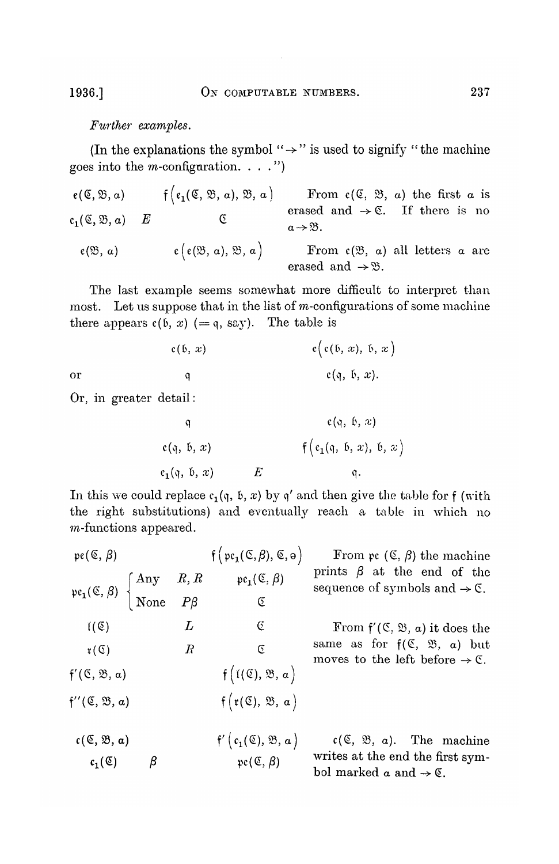#### *Further examples.*

(In the explanations the symbol " $\rightarrow$ " is used to signify "the machine goes into the *m*-configuration. . . . ")

| $e(\mathfrak{C}, \mathfrak{B}, a)$ | $f(e_1(\mathfrak{C}, \mathfrak{B}, a), \mathfrak{B}, a)$ | From $e(\mathfrak{C}, \mathfrak{B}, a)$ the first $a$ is<br>erased and $\rightarrow \mathfrak{C}$ . If there is no<br>$a \rightarrow \mathfrak{B}$ . |                                                                                          |
|------------------------------------|----------------------------------------------------------|------------------------------------------------------------------------------------------------------------------------------------------------------|------------------------------------------------------------------------------------------|
| $e(\mathfrak{B}, a)$               | $E$                                                      | $\mathfrak{C}$                                                                                                                                       | From $e(\mathfrak{B}, a)$ all letters $a$ are<br>erased and $\rightarrow \mathfrak{B}$ . |

The last example seems somewhat more difficult to interpret than most. Let us suppose that in the list of  $m$ -configurations of some machine there appears  $c(b, x)$  (= q, say). The table is

|    | c(b, x)                 | $e(e(\mathfrak{b},x), \mathfrak{b}, x)$ |
|----|-------------------------|-----------------------------------------|
| or |                         | $e(q, \mathfrak{b}, x)$ .               |
|    | $Or$ in greater detail: |                                         |

|  | $\ddot{ }$ , $\ddot{ }$ , $\ddot{ }$ , $\ddot{ }$ , $\ddot{ }$ , $\ddot{ }$ , $\ddot{ }$ , $\ddot{ }$ , $\ddot{ }$ , $\ddot{ }$ , $\ddot{ }$ , $\ddot{ }$ , $\ddot{ }$ , $\ddot{ }$ , $\ddot{ }$ , $\ddot{ }$ , $\ddot{ }$ , $\ddot{ }$ , $\ddot{ }$ , $\ddot{ }$ , $\ddot{ }$ , $\ddot{ }$ , $\ddot{ }$ , $\ddot{ }$ , $\ddot{$ |  |
|--|----------------------------------------------------------------------------------------------------------------------------------------------------------------------------------------------------------------------------------------------------------------------------------------------------------------------------------|--|
|  |                                                                                                                                                                                                                                                                                                                                  |  |
|  |                                                                                                                                                                                                                                                                                                                                  |  |

$$
\begin{array}{cccc}\n\mathfrak{q} & & \mathfrak{c}(\mathfrak{q}, \mathfrak{b}, x) \\
\mathfrak{e}(\mathfrak{q}, \mathfrak{b}, x) & & \mathfrak{f}(\mathfrak{e}_1(\mathfrak{q}, \mathfrak{b}, x), \mathfrak{b}, x) \\
\mathfrak{e}_1(\mathfrak{q}, \mathfrak{b}, x) & & E & \mathfrak{q}.\n\end{array}
$$

In this we could replace  $c_1(q, b, x)$  by  $q'$  and then give the table for f (with the right substitutions) and eventually reach a table in which no *m*-functions appeared.

| $pe(\mathfrak{C}, \beta)$<br>$\mathfrak{pc}_1(\mathfrak{C},\beta) \begin{array}{ll} \Big\{ \displaystyle{\text{Any}} & R, R \ \ \text{None} & P\beta \end{array}$ |                       | $f(\mathfrak{pc}_1(\mathfrak{C},\beta),\mathfrak{C},\Theta)$<br>$\mathfrak{pc}_1(\mathfrak{C},\,\beta)$<br>$\sigma$ | From pc $(\mathfrak{C}, \beta)$ the machine<br>prints $\beta$ at the end of the<br>sequence of symbols and $\rightarrow \mathfrak{C}$ .                             |
|-------------------------------------------------------------------------------------------------------------------------------------------------------------------|-----------------------|---------------------------------------------------------------------------------------------------------------------|---------------------------------------------------------------------------------------------------------------------------------------------------------------------|
| $I(\mathfrak{C})$<br>$r(\mathfrak{C})$<br>$f'(\mathfrak{C}, \mathfrak{B}, \alpha)$<br>$f''(\mathfrak{C}, \mathfrak{B}, \alpha)$                                   | L<br>$\boldsymbol{R}$ | C<br>$\mathfrak{C}$<br>$f(t(\mathfrak{C}), \mathfrak{B}, \alpha)$<br>$f(r(\mathfrak{C}), \mathfrak{B}, \alpha)$     | From $f'(\mathfrak{C}, \mathfrak{B}, a)$ it does the<br>same as for $f(\mathfrak{C}, \mathfrak{B}, a)$ but<br>moves to the left before $\rightarrow \mathfrak{C}$ . |
| $c(\mathfrak{C}, \mathfrak{B}, \alpha)$<br>$c_1(\mathfrak{C})$                                                                                                    |                       | $\mathfrak{f}'\bigl(\mathfrak{c}_1(\mathfrak{C}),\mathfrak{B},\alpha\bigr)$<br>$pe(\mathfrak{C}, \beta)$            | $\mathfrak{c}(\mathfrak{C}, \mathfrak{B}, \mathfrak{a}).$ The machine<br>writes at the end the first sym-                                                           |

bol marked  $\alpha$  and  $\rightarrow \mathfrak{C}$ .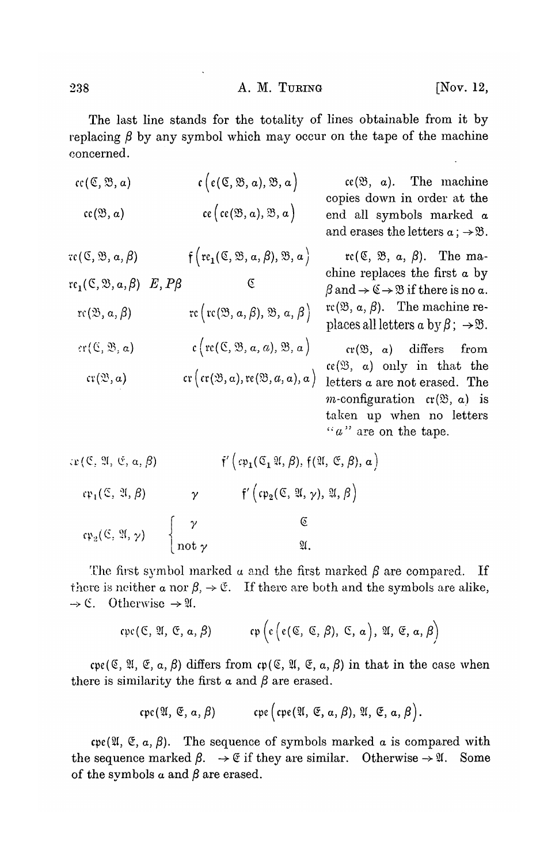The last line stands for the totality of lines obtainable from it by replacing  $\beta$  by any symbol which may occur on the tape of the machine concerned.

 $\mathfrak{cc}(\mathfrak{C},\mathfrak{B},a)$  c( $\mathfrak{c}(\mathfrak{C},\mathfrak{B},a),\mathfrak{B},a$ ) ce( $\mathfrak{B},a$ ). The machine

$$
cc(\mathfrak{B},a) \qquad \qquad ce\left( ce(\mathfrak{B},a),\mathfrak{B},a\right)
$$

$$
\begin{array}{ll}\n\mathfrak{re}(\mathfrak{C},\mathfrak{B},a,\beta) & \mathfrak{f}\n\left(\mathfrak{re}_1(\mathfrak{C},\mathfrak{B},a,\beta),\mathfrak{B},a\right) & \mathfrak{re} \\
\mathfrak{re}_1(\mathfrak{C},\mathfrak{B},a,\beta) & E, P\beta & \mathfrak{C} & \text{chine} \\
\mathfrak{re}(\mathfrak{B},a,\beta) & \mathfrak{re}\n\left(\mathfrak{re}(\mathfrak{B},a,\beta),\mathfrak{B},a,\beta\right) & \text{re}(\mathfrak{B}) \\
\mathfrak{re}(\mathfrak{C},\mathfrak{B},a) & \mathfrak{e}\n\left(\mathfrak{re}(\mathfrak{C},\mathfrak{B},a,a),\mathfrak{B},a\right) & \text{ce}(\mathfrak{B}) \\
\mathfrak{er}(\mathfrak{B},a) & \mathfrak{er}\n\left(\mathfrak{re}(\mathfrak{B},a,a),\mathfrak{B},a\right) & \text{ce}(\mathfrak{B}) \\
\mathfrak{er}(\mathfrak{B},a) & \mathfrak{er}\n\left(\mathfrak{re}(\mathfrak{B},a),\mathfrak{re}(\mathfrak{B},a,a),a\right) & \text{lette} \\
\mathfrak{me}_n\mathfrak{re}_n & \text{the case} & \text{the case} \\
\mathfrak{m}\n\end{array}
$$

copies down in order at the end all symbols marked  $\alpha$ and erases the letters  $\alpha$ ;  $\rightarrow \mathfrak{B}$ .

 $rc(\mathfrak{C}, \mathfrak{B}, \alpha, \beta)$ . The machine replaces the first a by  $\beta$  and  $\rightarrow \mathfrak{C} \rightarrow \mathfrak{B}$  if there is no a.  $(a, \beta)$ . The machine re places all letters  $\alpha$  by  $\beta$ ;  $\rightarrow \mathfrak{B}$ .

 $cr(\mathfrak{B},\ \alpha)$  differs from  $ce(\mathfrak{B}, \alpha)$  only in that the letters  $\alpha$  are not erased. The  $m$ -configuration  $cr(\mathfrak{B}, \alpha)$  is taken up when no letters  $a$ " are on the tape.

| $\alpha$ (C, I, C, $\alpha$ , $\beta$ )                              |                                                          | $\mathfrak{f}'\big(\mathfrak{cp}_1(\mathfrak{C}_1\mathfrak{A},\beta),\mathfrak{f}(\mathfrak{A},\mathfrak{E},\beta),\alpha\big)$ |
|----------------------------------------------------------------------|----------------------------------------------------------|---------------------------------------------------------------------------------------------------------------------------------|
| $\mathfrak{cr}_1(\mathfrak{C}, \mathfrak{A}, \beta)$                 | $\gamma$                                                 | $f'(\mathfrak{cp}_2(\mathfrak{C}, \mathfrak{A}, \gamma), \mathfrak{A}, \beta)$                                                  |
|                                                                      |                                                          | O.                                                                                                                              |
| $\mathfrak{c}\mathfrak{p}_2(\mathfrak{C},\, \mathfrak{A},\, \gamma)$ | $\begin{cases} \gamma \\ \text{not } \gamma \end{cases}$ | A.                                                                                                                              |

The first symbol marked  $\alpha$  and the first marked  $\beta$  are compared. If there is neither a nor  $\beta$ ,  $\rightarrow \mathfrak{C}$ . If there are both and the symbols are alike,  $\rightarrow \mathfrak{C}$ . Otherwise  $\rightarrow \mathfrak{A}$ .

$$
cyc(\mathfrak{C}, \mathfrak{A}, \mathfrak{C}, \alpha, \beta) \qquad \qquad c\left(c\left(\varepsilon(\mathfrak{C}, \mathfrak{C}, \beta), \mathfrak{C}, \alpha\right), \mathfrak{A}, \mathfrak{C}, \alpha, \beta\right)
$$

cpe( $\mathfrak{C}, \mathfrak{A}, \mathfrak{C}, \alpha, \beta$ ) differs from cp( $\mathfrak{C}, \mathfrak{A}, \mathfrak{C}, \alpha, \beta$ ) in that in the case when there is similarity the first  $\alpha$  and  $\beta$  are erased.

$$
\mathfrak{cpc}(\mathfrak{A}, \mathfrak{E}, \alpha, \beta) \qquad \mathfrak{cpc} \Big( \mathfrak{cpc}(\mathfrak{A}, \mathfrak{E}, \alpha, \beta), \mathfrak{A}, \mathfrak{E}, \alpha, \beta \Big).
$$

cpe( $\mathfrak{A}, \mathfrak{C}, \alpha, \beta$ ). The sequence of symbols marked  $\alpha$  is compared with the sequence marked  $\beta$ .  $\rightarrow \mathfrak{C}$  if they are similar. Otherwise  $\rightarrow \mathfrak{A}$ . Some of the symbols  $\alpha$  and  $\beta$  are erased.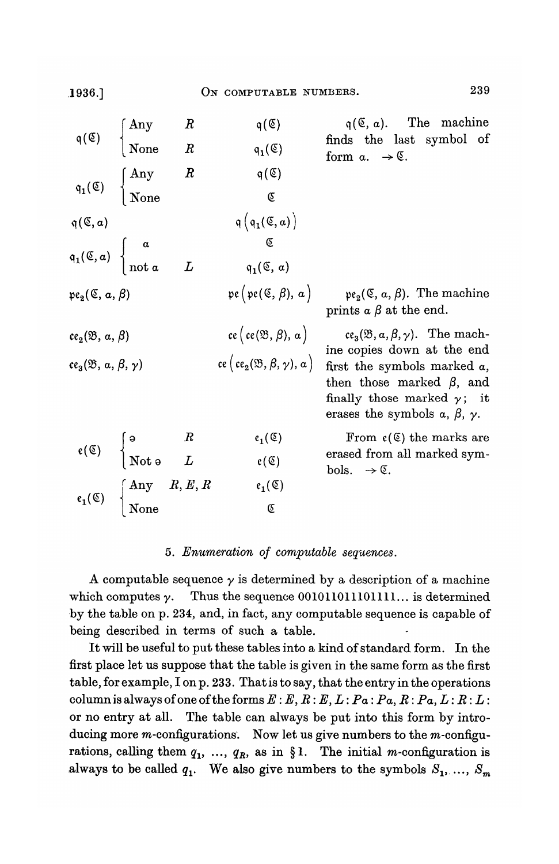|                                                                       |                                                                                                                    | $q(\mathfrak{C})$                                                                                                        | $q(\mathfrak{C}, a)$ . The machine                                                                                                                            |
|-----------------------------------------------------------------------|--------------------------------------------------------------------------------------------------------------------|--------------------------------------------------------------------------------------------------------------------------|---------------------------------------------------------------------------------------------------------------------------------------------------------------|
|                                                                       | $\mathfrak{q}(\mathfrak{C})$ $\begin{cases} \text{Any} & R \\ \text{None} & R \end{cases}$                         | $q_1(\mathfrak{C})$                                                                                                      | finds the last symbol of<br>form $\alpha. \rightarrow \mathfrak{C}.$                                                                                          |
|                                                                       |                                                                                                                    | $q(\mathfrak{C})$                                                                                                        |                                                                                                                                                               |
|                                                                       | $\mathfrak{q_1}(\mathfrak{C})\quad \left\{ \begin{aligned} \text{Any} \qquad R\ \text{None} \end{aligned} \right.$ | $\mathfrak{C}$                                                                                                           |                                                                                                                                                               |
| $\mathfrak{q}(\mathfrak{C},\alpha)$                                   |                                                                                                                    | $q(q_1(\mathfrak{C},a))$                                                                                                 |                                                                                                                                                               |
|                                                                       |                                                                                                                    | $\mathfrak{C}$                                                                                                           |                                                                                                                                                               |
|                                                                       | $\mathfrak{q}_1(\mathfrak{C},a) \begin{array}{ccc} & a \ & \alpha \ & \mathrm{not}\ a & L \end{array}$             | $q_1(\mathfrak{C}, a)$                                                                                                   |                                                                                                                                                               |
| ${\mathfrak{pe}}_2(\mathfrak{C},a,\beta)$                             |                                                                                                                    |                                                                                                                          | $\mathfrak{pe}(\mathfrak{pe}(\mathfrak{C}, \beta), \alpha)$ $\mathfrak{pe}_2(\mathfrak{C}, \alpha, \beta)$ . The machine<br>prints $\alpha \beta$ at the end. |
| ${\mathfrak c}{\mathfrak e}_2({\mathfrak B},\,{\mathfrak a},\,\beta)$ |                                                                                                                    | $ce(ce(\mathfrak{B}, \beta), \alpha)$                                                                                    | $ce_{3}(2\mathfrak{B}, \alpha, \beta, \gamma)$ . The mach-                                                                                                    |
| $ce_{3}(\mathfrak{B}, \alpha, \beta, \gamma)$                         |                                                                                                                    | ce ( ce $_2$ (B, $\beta$ , $\gamma$ ), $a$ )                                                                             | ine copies down at the end<br>first the symbols marked a,                                                                                                     |
|                                                                       |                                                                                                                    |                                                                                                                          | then those marked $\beta$ , and<br>finally those marked $\gamma$ ; it<br>erases the symbols $\alpha$ , $\beta$ , $\gamma$ .                                   |
|                                                                       |                                                                                                                    |                                                                                                                          | From $\varepsilon(\mathfrak{C})$ the marks are                                                                                                                |
|                                                                       |                                                                                                                    | $e(\mathfrak{C})$ $\begin{cases} \Theta & R & e_1(\mathfrak{C}) \\ \text{Not } \Theta & L & e(\mathfrak{C}) \end{cases}$ | erased from all marked sym-<br>bols. $\rightarrow \mathfrak{C}$ .                                                                                             |
|                                                                       |                                                                                                                    | $\mathfrak{e}_1(\mathfrak{C})$ $\begin{cases} \text{Any} & R, E, R \\ \text{None} & \mathfrak{C} \end{cases}$            |                                                                                                                                                               |
|                                                                       |                                                                                                                    |                                                                                                                          |                                                                                                                                                               |
|                                                                       |                                                                                                                    |                                                                                                                          |                                                                                                                                                               |

### 5. *Enumeration of computable sequences.*

A computable sequence  $\gamma$  is determined by a description of a machine which computes  $\gamma$ . Thus the sequence  $001011011101111...$  is determined by the table on p. 234, and, in fact, any computable sequence is capable of being described in terms of such a table.

It will be useful to put these tables into a kind of standard form. In the first place let us suppose that the table is given in the same form as the first table, for example, I on p. 233. That is to say, that the entry in the operations column is always of one of the forms *E :E,R:E,L:Pa:* Pa, *R: Pa, L:R:L:* or no entry at all. The table can always be put into this form by introducing more  $m$ -configurations. Now let us give numbers to the  $m$ -configurations, calling them  $q_1$ , ...,  $q_R$ , as in §1. The initial m-configuration is always to be called  $q_1$ . We also give numbers to the symbols  $S_1, ..., S_m$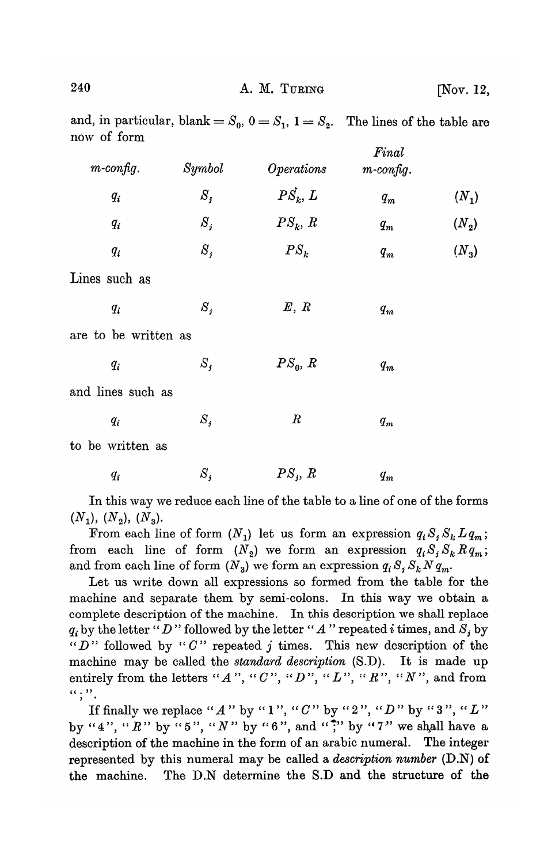| and, in particular, blank = $S_0$ , $0 = S_1$ , $1 = S_2$ . The lines of the table are |  |
|----------------------------------------------------------------------------------------|--|
| now of form                                                                            |  |

| $m$ -config.         | Symbol | <i>Operations</i> | Final<br>$m$ -config. |         |
|----------------------|--------|-------------------|-----------------------|---------|
| $q_i$                | $S_i$  | $PS_k, L$         | $q_m$                 | $(N_1)$ |
| $q_i$                | $S_i$  | $PS_k, R$         | $q_m$                 | $(N_2)$ |
| $q_i$                | $S_i$  | $PS_k$            | $q_m$                 | $(N_3)$ |
| Lines such as        |        |                   |                       |         |
| $q_i$                | $S_i$  | E, R              | $q_m$                 |         |
| are to be written as |        |                   |                       |         |
| $q_i$                | $S_i$  | $PS_0, R$         | $q_m$                 |         |
| and lines such as    |        |                   |                       |         |
| $q_i$                | $S_i$  | $\pmb{R}$         | $q_m$                 |         |
| to be written as     |        |                   |                       |         |
| $q_i$                | $S_i$  | $PS_j, R$         | $q_m$                 |         |

In this way we reduce each line of the table to a line of one of the forms  $(N_1)$ ,  $(N_2)$ ,  $(N_3)$ .

From each line of form  $(N_1)$  let us form an expression  $q_i S_j S_k L q_m$ ; from each line of form  $(N_2)$  we form an expression  $q_i S_j S_k R q_m$ ; and from each line of form  $(N_3)$  we form an expression  $q_i S_i S_k N q_m$ .

Let us write down all expressions so formed from the table for the machine and separate them by semi-colons. In this way we obtain a complete description of the machine. In this description we shall replace  $q_i$  by the letter "*D*" followed by the letter "*A*" repeated *i* times, and  $S_i$  by "D" followed by "C" repeated j times. This new description of the machine may be called the *standard description* (S.D). It is made up entirely from the letters " $A$ ", " $C$ ", " $D$ ", " $L$ ", " $R$ ", " $N$ ", and from  $\alpha, \beta$ 

If finally we replace *"A"* by "1" , *"C"* by "2" , *"D"* by "3" , *" L"* by "4", " $R$ " by "5", " $N$ " by "6", and "<sup>\*</sup>;" by "7" we shall have a description of the machine in the form of an arabic numeral. The integer represented by this numeral may be called a *description number* (D.N) of the machine. The D.N determine the S.D and the structure of the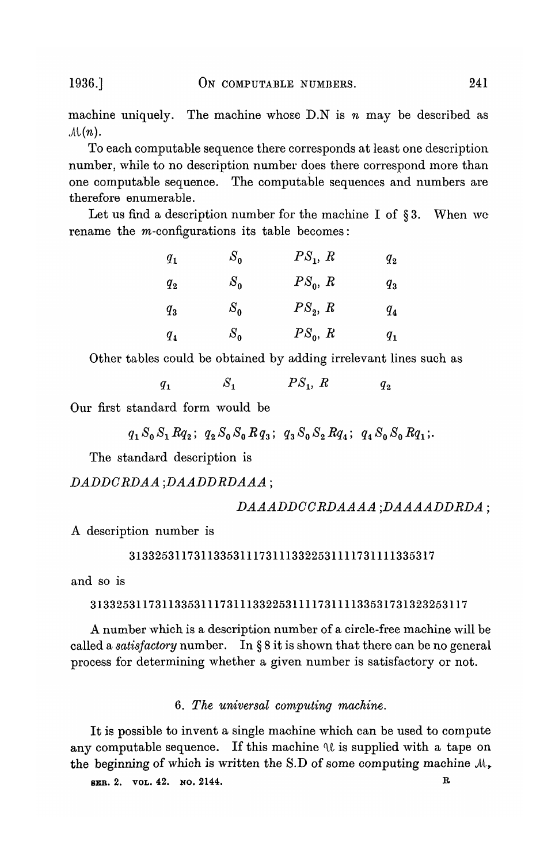machine uniquely. The machine whose D.N is *n* may be described as  $\mathcal{M}(n)$ .

To each computable sequence there corresponds at least one description number, while to no description number does there correspond more than one computable sequence. The computable sequences and numbers are therefore enumerable.

Let us find a description number for the machine I of  $\S 3$ . When we rename the m-configurations its table becomes:

| $q_{1}$ | $S_{0}$     | $PS_1, R$ | $q_{\rm a}$ |
|---------|-------------|-----------|-------------|
| $q_{2}$ | $S_{\bf 0}$ | $PS_0, R$ | $q_{3}$     |
| $q_{3}$ | $S_{0}$     | $PS_2, R$ | $q_{4}$     |
| $q_{1}$ | $S_{\bf 0}$ | $PS_0, R$ | $q_{1}$     |

Other tables could be obtained by adding irrelevant lines such as

 $q_1$   $S_1$   $PS_1$ ,  $R$   $q_2$ 

Our first standard form would be

 $q_1S_0S_1Rq_2; q_2S_0S_0Rq_3; q_3S_0S_2Rq_4; q_4S_0S_0Rq_1;$ 

The standard description is

*DADDCRDAA ;DAADDRDAAA*;

# $DAAADDCCRDAAAA; DAAAADDRDA;$

A description number is

#### 31332531173113353111731113322531111731111335317

and so is

#### 3133253117311335311173111332253111173111133531731323253117

A number which is a description number of a circle-free machine will be called a *satisfactory* number. In § 8 it is shown that there can be no general process for determining whether a given number is satisfactory or not.

### 6. *The universal computing machine.*

It is possible to invent a single machine which can be used to compute any computable sequence. If this machine  $\mathfrak U$  is supplied with a tape on the beginning of which is written the S.D of some computing machine  $M_{\star}$ .

**8KR. 2. VOL. 42. NO. 2144.** R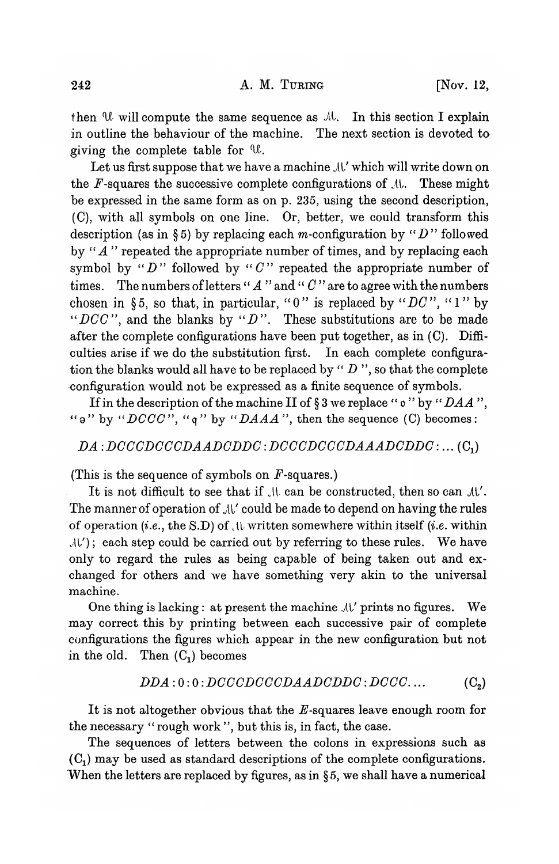then  $\mathcal U$  will compute the same sequence as  $\mathcal M$ . In this section I explain in outline the behaviour of the machine. The next section is devoted to giving the complete table for U.

Let us first suppose that we have a machine  $\mathcal{M}'$  which will write down on the  $F$ -squares the successive complete configurations of  $\mathcal{M}$ . These might be expressed in the same form as on p. 235, using the second description, (C), with all symbols on one line. Or, better, we could transform this description (as in §5) by replacing each *m*-configuration by " $D$ " followed by *"A"* repeated the appropriate number of times, and by replacing each symbol by " $D$ " followed by " $C$ " repeated the appropriate number of times. The numbers of letters "*A* " and "*C*" are to agree with the numbers chosen in §5, so that, in particular, " $0$ " is replaced by " $DC$ ", "1" by " $DCC$ ", and the blanks by "D". These substitutions are to be made after the complete configurations have been put together, as in (C). Difficulties arise if we do the substitution first. In each complete configuration the blanks would all have to be replaced by *" D* ", so that the complete configuration would not be expressed as a finite sequence of symbols.

If in the description of the machine II of § 3 we replace " o " by "*DAA*", " a " by *"DCCC",* "q " by *"DAAA",* then the sequence (C) becomes:

 $DA: DCCCDCCCDAADCDDC: DCCCDCCCDAAADCDDC:...$  (C<sub>1</sub>)

(This is the sequence of symbols on  $F$ -squares.)

It is not difficult to see that if  $\mathcal{M}$  can be constructed, then so can  $\mathcal{M}'$ . The manner of operation of  $\mathcal{M}$  could be made to depend on having the rules of operation *{i.e.,* the S.D) of il written somewhere within itself *{i.e.* within  $\mathcal{M}'$ ; each step could be carried out by referring to these rules. We have only to regard the rules as being capable of being taken out and exchanged for others and we have something very akin to the universal machine.

One thing is lacking : at present the machine  $\mathcal{M}'$  prints no figures. We may correct this by printing between each successive pair of complete configurations the figures which appear in the new configuration but not in the old. Then  $(C_1)$  becomes

$$
DDA:0:0:DCCCDCCCDAADCDDC:DCCC.... \qquad (C_2)
$$

It is not altogether obvious that the  $E$ -squares leave enough room for the necessary "rough work", but this is, in fact, the case.

The sequences of letters between the colons in expressions such as  $(C<sub>1</sub>)$  may be used as standard descriptions of the complete configurations. When the letters are replaced by figures, as in § 5, we shall have a numerical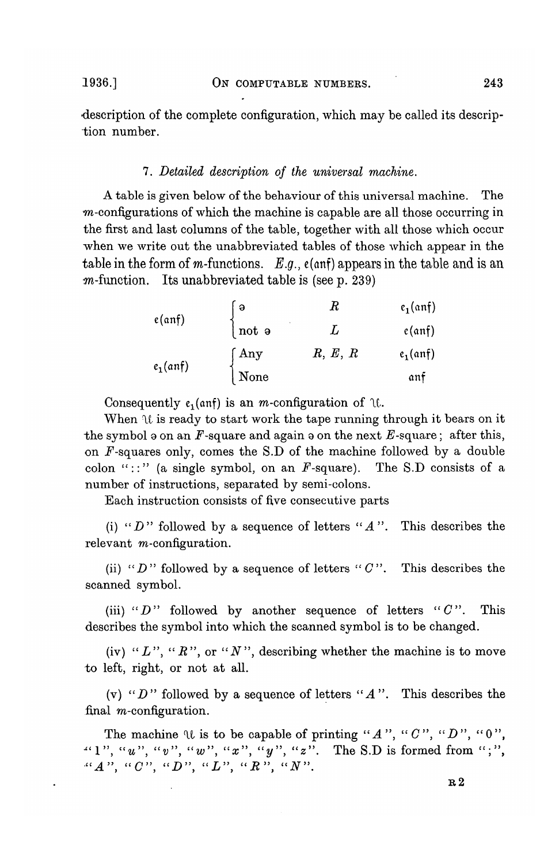•description of the complete configuration, which may be called its description number.

#### 7. *Detailed description of the universal machine.*

A table is given below of the behaviour of this universal machine. The *•m*-configurations of which the machine is capable are all those occurring in the first and last columns of the table, together with all those which occur when we write out the unabbreviated tables of those which appear in the table in the form of m-functions.  $E.g., \epsilon(\text{an}t)$  appears in the table and is an  $m$ -function. Its unabbreviated table is (see p. 239)

| e(anf)     | ∣ə                  | К       | $e_1(anf)$ |
|------------|---------------------|---------|------------|
|            | $\vert$ not $\circ$ | L       | e(anf)     |
| $e_1(anf)$ | $\int \text{Any}$   | R, E, R | $e_1(anf)$ |
|            | None                |         | anf        |

Consequently  $e_1$ (anf) is an *m*-configuration of  $\mathcal U$ .

When *\l* is ready to start work the tape running through it bears on it the symbol  $\Theta$  on an  $F$ -square and again  $\Theta$  on the next  $E$ -square; after this, on  $F$ -squares only, comes the S.D of the machine followed by a double colon "::" (a single symbol, on an  $F$ -square). The S.D consists of a number of instructions, separated by semi-colons.

Each instruction consists of five consecutive parts

(i) " $D$ " followed by a sequence of letters " $A$ ". This describes the relevant *m*-configuration.

(ii) "D" followed by a sequence of letters " $C$ ". This describes the scanned symbol.

(iii) " $D$ " followed by another sequence of letters " $C$ ". This describes the symbol into which the scanned symbol is to be changed.

(iv) " $L$ ", " $R$ ", or " $N$ ", describing whether the machine is to move to left, right, or not at all.

(v) " $D$ " followed by a sequence of letters " $A$ ". This describes the final m-configuration.

The machine U is to be capable of printing " $A$ ", " $C$ ", " $D$ ", " $0$ ", •"1" , *"u", "v", "w",* "z" , *"y",* "z" . The S.D is formed from ";" , *•"A", "C", "D", "L", "R", "N".*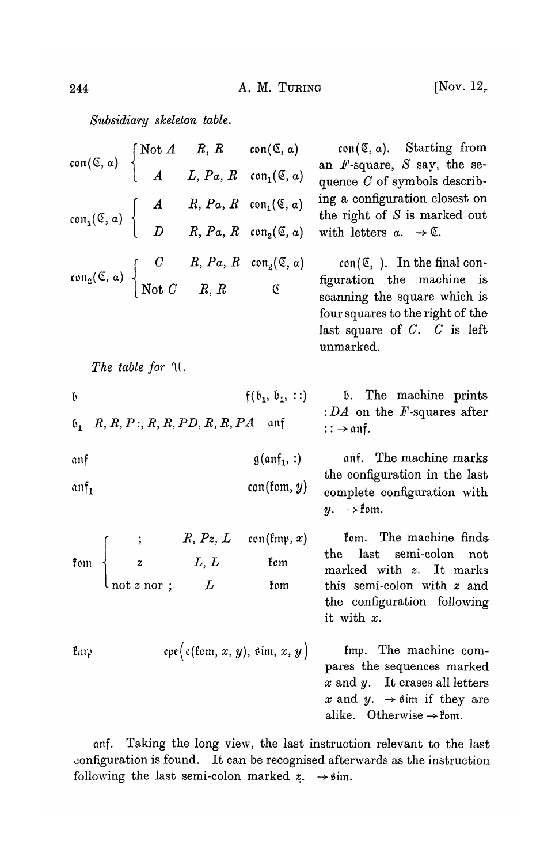*Subsidiary skeleton table.*

$$
\text{con}(\mathfrak{C},a) \quad \left\{ \begin{array}{ll}\n\text{Not } A & R, \ R & \text{con}(\mathfrak{C},a) \\
A & L, Pa, \ R & \text{con}_1(\mathfrak{C},a) \\
\text{con}_1(\mathfrak{C},a) & \left\{ \begin{array}{ll} A & R, Pa, \ R & \text{con}_1(\mathfrak{C},a) \\
D & R, Pa, \ R & \text{con}_2(\mathfrak{C},a) \\
\text{con}_2(\mathfrak{C},a) & \left\{ \begin{array}{ll} C & R, Pa, \ R & \text{con}_2(\mathfrak{C},a) \\
\text{Not } C & R, \ R & \end{array} \right. \end{array} \right.
$$

 $con(\mathfrak{C}, \alpha)$ . Starting from an  $F$ -square,  $S$  say, the sequence *C* of symbols describing a configuration closest on the right of *S* is marked out with letters  $\alpha. \rightarrow \mathfrak{C}$ .

 $con(\mathfrak{C},)$ . In the final configuration the machine is scanning the square which is four squares to the right of the last square of *C. C* is left unmarked.

*The table for* U.

$$
\mathfrak{b} \qquad \qquad \mathfrak{f}(\mathfrak{b}_1, \mathfrak{b}_1, \ldots)
$$

$$
\mathfrak{b}_1 \quad R, R, P; R, R, PD, R, R, PA \quad \text{and}
$$

anf

 $anf_1$ 

$$
\text{from } \begin{cases} & ; & R, \, Pz, \, L & \text{con}(\text{fmp}, \, x) \\ & z & L, \, L & \text{fom} \\ \text{not } z \text{ nor } ; & L & \text{fom} \end{cases}
$$

$$
\text{Im}\mathfrak{p} \qquad \qquad \text{c}\mathfrak{p}\mathfrak{e} \big( \text{c}(\text{fom}, x, y), \text{eim}, x, y \big)
$$

6. The machine prints  $:DA$  on the F-squares after  $: \rightarrow$  anf.

 $g(anf_1, :)$  anf. The machine marks the configuration in the last  $con(\text{fom}, y)$  complete configuration with  $y. \rightarrow$  fom.

> fom. The machine finds. the last semi-colon not marked with *z.* It marks this semi-colon with *z* and the configuration following it with *x.*

 $\bigl(\mathfrak{c}(\text{fom}, x, y), \, \mathfrak{sim}, x, y\bigr)$  fmp. The machine compares the sequences marked *x* and *y.* It erases all letters *x* and *y*.  $\rightarrow$  sim if they are alike. Otherwise  $\rightarrow$  fom.

anf. Taking the long view, the last instruction relevant to the last configuration is found. It can be recognised afterwards as the instruction following the last semi-colon marked  $z$ .  $\rightarrow$  sim.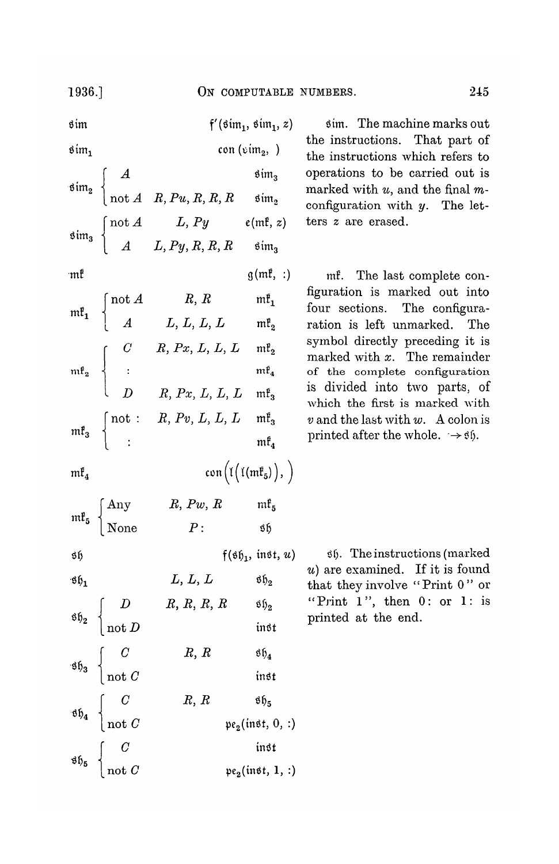Sim  $f'(\sin_1, \sin_1, z)$ sim. con ( $\mathfrak{eim}_{2}$ , ) *A* Sim 3  $\operatorname{not} A$   $R$ *,*  $Pu$ *,*  $R$ *,*  $R$ *,*  $I$ Sim **2** not *A L,* e(mB, *Py A*  $, f$ Sim **3** *L,Py, •mt*  $g(m\ell, :)$ *L, L, L, L*  $\mathfrak{m}\mathfrak{k}_{2}$ *A* , Px, L,  $L$ , *C D R, Px, L, L, L* m $f_3$  $\quad \text{not} \, : \quad R, \, Pv, \, L, \, L, \, L \quad \mathfrak{mf}_3$  $\mathfrak{m} \mathfrak{k}_3$ :  $m\ddot{f}_4$  $con(\mathfrak{l}(\mathfrak{l}(\mathfrak{m}\mathfrak{k}_5)),))$  $m\mathfrak{k}_4$ [Any  $\mathfrak{m}\mathfrak{k}_{\mathfrak{s}}$ *mh* [ None **P:** sh *L, L, L*  $65<sub>1</sub>$  $\mathfrak{sh}_2$ **?,** *R, R, R* **•R, 22** inst,  $0, :$  $\mathfrak{sb}_5$   $\left\{\begin{array}{c} C \\ \text{not } C \end{array}\right\}$ inst<br>pe<sub>2</sub>(inst, 1, :)

sim. The machine marks out the instructions. That part of the instructions which refers to operations to be carried out is marked with *u,* and the final mconfiguration with *y.* The letters *z* are erased.

*mi.* The last complete configuration is marked out into four sections. The configuraration is left unmarked. The symbol directly preceding it is marked with *x.* The remainder of the complete configuration is divided into two parts, of which the first is marked with *v* and the last with *w.* A colon is printed after the whole.  $\rightarrow$  \$6.

 $f(\mathfrak{sh}_1, \mathfrak{inst}, u)$  sh. The instructions (marked *u)* are examined. If it is found that they involve "Print 0" or "Print 1", then 0: or 1: is printed at the end.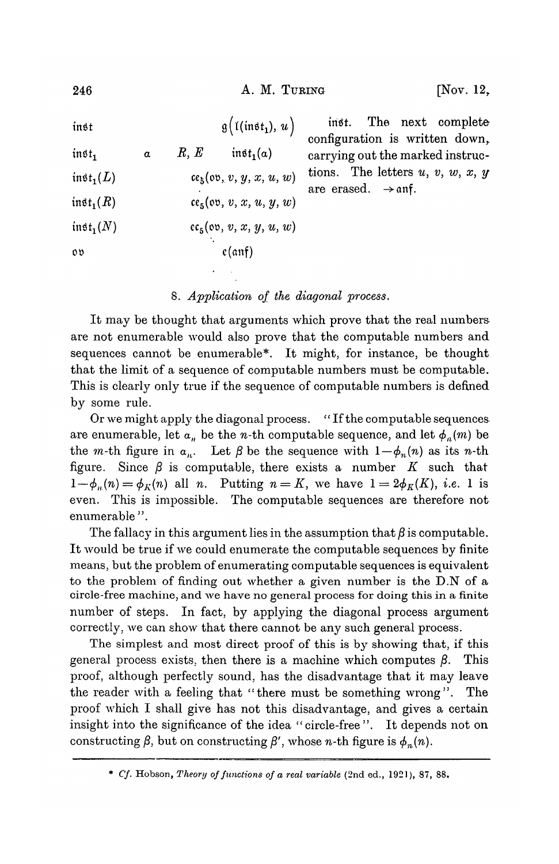inst.  $\text{ind}_{1}(L)$  ce<sub>5</sub>(ov, v, y, x, u, w)

- $\text{ind } f_1(R)$  ce<sub>5</sub>(ov, *v*, *x*, *u*, *y*, *w*)
- $\text{int}_{1}(N)$  ec<sub>5</sub>(ov, *v*, *x*, *y*, *u*, *w*)

 $\cos$  c(anf)

inst  $g(f(int_1), u)$  inst. The next complete configuration is written down,.  $a$   $R, E$  inst<sub>1</sub>(a) carrying out the marked instructions. The letters  $u, v, w, x, y$ are erased.  $\rightarrow$  anf.

# 8. *Application of the diagonal process.*

It may be thought that arguments which prove that the real numbers are not enumerable would also prove that the computable numbers and sequences cannot be enumerable\*. It might, for instance, be thought that the limit of a sequence of computable numbers must be computable. This is clearly only true if the sequence of computable numbers is defined by some rule.

Or we might apply the diagonal process. "If the computable sequences are enumerable, let  $a_n$  be the *n*-th computable sequence, and let  $\phi_n(m)$  be the *m*-th figure in  $a_n$ . Let  $\beta$  be the sequence with  $1-\phi_n(n)$  as its *n*-th. figure. Since  $\beta$  is computable, there exists a number  $K$  such that  $1-\phi_n(n) = \phi_K(n)$  all *n*. Putting  $n = K$ , we have  $1 = 2\phi_K(K)$ , *i.e.* 1 is even. This is impossible. The computable sequences are therefore not enumerable".

The fallacy in this argument lies in the assumption that  $\beta$  is computable. It would be true if we could enumerate the computable sequences by finite means, but the problem of enumerating computable sequences is equivalent to the problem of finding out whether a given number is the D.N of a circle-free machine, and we have no general process for doing this in a finite number of steps. In fact, by applying the diagonal process argument correctly, we can show that there cannot be any such general process.

The simplest and most direct proof of this is by showing that, if this general process exists, then there is a machine which computes  $\beta$ . This proof, although perfectly sound, has the disadvantage that it may leave the reader with a feeling that "there must be something wrong". The proof which I shall give has not this disadvantage, and gives a certain insight into the significance of the idea "circle-free". It depends not on constructing  $\beta$ , but on constructing  $\beta'$ , whose *n*-th figure is  $\phi_n(n)$ .

*<sup>\*</sup> Cf.* Hobson, *Theory of functions of a real variable* (2nd ed., 1921), 87, 88.